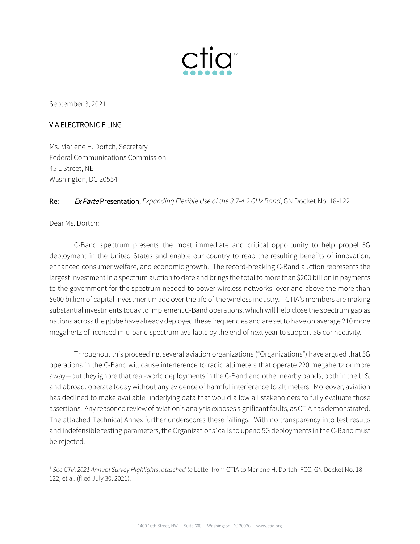

September 3, 2021

#### VIA ELECTRONIC FILING

Ms. Marlene H. Dortch, Secretary Federal Communications Commission 45 L Street, NE Washington, DC 20554

#### Re: Ex Parte Presentation, *Expanding Flexible Use of the 3.7-4.2 GHz Band*, GN Docket No. 18-122

Dear Ms. Dortch:

-

C-Band spectrum presents the most immediate and critical opportunity to help propel 5G deployment in the United States and enable our country to reap the resulting benefits of innovation, enhanced consumer welfare, and economic growth. The record-breaking C-Band auction represents the largest investment in a spectrum auction to date and brings the total to more than \$200 billion in payments to the government for the spectrum needed to power wireless networks, over and above the more than \$600 billion of capital investment made over the life of the wireless industry.<sup>[1](#page-0-0)</sup> CTIA's members are making substantial investments today to implement C-Band operations, which will help close the spectrum gap as nations across the globe have already deployed these frequencies and are set to have on average 210 more megahertz of licensed mid-band spectrum available by the end of next year to support 5G connectivity.

Throughout this proceeding, several aviation organizations ("Organizations") have argued that 5G operations in the C-Band will cause interference to radio altimeters that operate 220 megahertz or more away—but they ignore that real-world deployments in the C-Band and other nearby bands, both in the U.S. and abroad, operate today without any evidence of harmful interference to altimeters. Moreover, aviation has declined to make available underlying data that would allow all stakeholders to fully evaluate those assertions. Any reasoned review of aviation's analysis exposes significant faults, as CTIA has demonstrated. The attached Technical Annex further underscores these failings. With no transparency into test results and indefensible testing parameters, the Organizations' calls to upend 5G deployments in the C-Band must be rejected.

<span id="page-0-0"></span><sup>1</sup> *See CTIA 2021 Annual Survey Highlights*, *attached to* Letter from CTIA to Marlene H. Dortch, FCC, GN Docket No. 18- 122, et al. (filed July 30, 2021).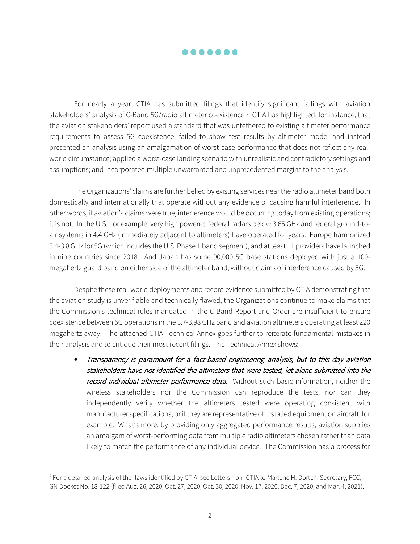

For nearly a year, CTIA has submitted filings that identify significant failings with aviation stakeholders' analysis of C-Band 5G/radio altimeter coexistence. [2](#page-1-0) CTIA has highlighted, for instance, that the aviation stakeholders' report used a standard that was untethered to existing altimeter performance requirements to assess 5G coexistence; failed to show test results by altimeter model and instead presented an analysis using an amalgamation of worst-case performance that does not reflect any realworld circumstance; applied a worst-case landing scenario with unrealistic and contradictory settings and assumptions; and incorporated multiple unwarranted and unprecedented margins to the analysis.

The Organizations' claims are further belied by existing services near the radio altimeter band both domestically and internationally that operate without any evidence of causing harmful interference. In other words, if aviation's claims were true, interference would be occurring today from existing operations; it is not. In the U.S., for example, very high powered federal radars below 3.65 GHz and federal ground-toair systems in 4.4 GHz (immediately adjacent to altimeters) have operated for years. Europe harmonized 3.4-3.8 GHz for 5G (which includes the U.S. Phase 1 band segment), and at least 11 providers have launched in nine countries since 2018. And Japan has some 90,000 5G base stations deployed with just a 100 megahertz guard band on either side of the altimeter band, without claims of interference caused by 5G.

Despite these real-world deployments and record evidence submitted by CTIA demonstrating that the aviation study is unverifiable and technically flawed, the Organizations continue to make claims that the Commission's technical rules mandated in the C-Band Report and Order are insufficient to ensure coexistence between 5G operations in the 3.7-3.98 GHz band and aviation altimeters operating at least 220 megahertz away. The attached CTIA Technical Annex goes further to reiterate fundamental mistakes in their analysis and to critique their most recent filings. The Technical Annex shows:

• Transparency is paramount for a fact-based engineering analysis, but to this day aviation stakeholders have not identified the altimeters that were tested, let alone submitted into the record individual altimeter performance data. Without such basic information, neither the wireless stakeholders nor the Commission can reproduce the tests, nor can they independently verify whether the altimeters tested were operating consistent with manufacturer specifications, or if they are representative of installed equipment on aircraft, for example. What's more, by providing only aggregated performance results, aviation supplies an amalgam of worst-performing data from multiple radio altimeters chosen rather than data likely to match the performance of any individual device. The Commission has a process for

-

<span id="page-1-0"></span><sup>&</sup>lt;sup>2</sup> For a detailed analysis of the flaws identified by CTIA, see Letters from CTIA to Marlene H. Dortch, Secretary, FCC, GN Docket No. 18-122 (filed Aug. 26, 2020; Oct. 27, 2020; Oct. 30, 2020; Nov. 17, 2020; Dec. 7, 2020; and Mar. 4, 2021).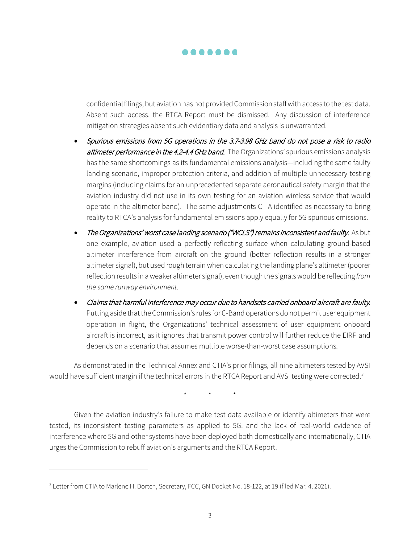

confidential filings, but aviation has not provided Commission staffwith access to the test data. Absent such access, the RTCA Report must be dismissed. Any discussion of interference mitigation strategies absent such evidentiary data and analysis is unwarranted.

- Spurious emissions from 5G operations in the 3.7-3.98 GHz band do not pose a risk to radio altimeter performance in the 4.2-4.4 GHz band. The Organizations' spurious emissions analysis has the same shortcomings as its fundamental emissions analysis—including the same faulty landing scenario, improper protection criteria, and addition of multiple unnecessary testing margins (including claims for an unprecedented separate aeronautical safety margin that the aviation industry did not use in its own testing for an aviation wireless service that would operate in the altimeter band). The same adjustments CTIA identified as necessary to bring reality to RTCA's analysis for fundamental emissions apply equally for 5G spurious emissions.
- The Organizations' worst case landing scenario ("WCLS") remains inconsistent and faulty. As but one example, aviation used a perfectly reflecting surface when calculating ground-based altimeter interference from aircraft on the ground (better reflection results in a stronger altimeter signal), but used rough terrain when calculating the landing plane's altimeter (poorer reflection results in a weaker altimeter signal), even though the signals would be reflecting *from the same runway environment*.
- Claims that harmful interference may occur due to handsets carried onboard aircraft are faulty. Putting aside that the Commission's rules for C-Band operations do not permit user equipment operation in flight, the Organizations' technical assessment of user equipment onboard aircraft is incorrect, as it ignores that transmit power control will further reduce the EIRP and depends on a scenario that assumes multiple worse-than-worst case assumptions.

As demonstrated in the Technical Annex and CTIA's prior filings, all nine altimeters tested by AVSI would have sufficient margin if the technical errors in the RTCA Report and AVSI testing were corrected.<sup>[3](#page-2-0)</sup>

\* \* \*

Given the aviation industry's failure to make test data available or identify altimeters that were tested, its inconsistent testing parameters as applied to 5G, and the lack of real-world evidence of interference where 5G and other systems have been deployed both domestically and internationally, CTIA urges the Commission to rebuff aviation's arguments and the RTCA Report.

j

<span id="page-2-0"></span><sup>3</sup> Letter from CTIA to Marlene H. Dortch, Secretary, FCC, GN Docket No. 18-122, at 19 (filed Mar. 4, 2021).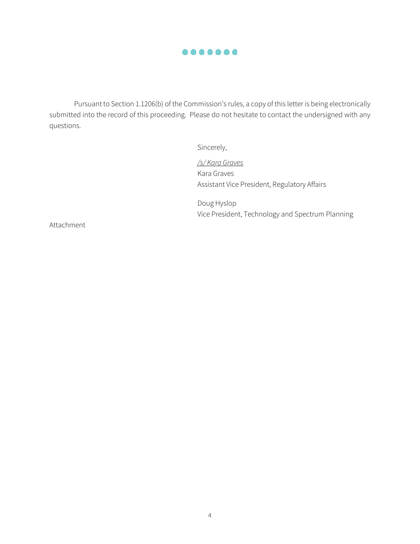

Pursuant to Section 1.1206(b) of the Commission's rules, a copy of this letter is being electronically submitted into the record of this proceeding. Please do not hesitate to contact the undersigned with any questions.

Sincerely,

*/s/ Kara Graves* Kara Graves Assistant Vice President, Regulatory Affairs

Doug Hyslop Vice President, Technology and Spectrum Planning

Attachment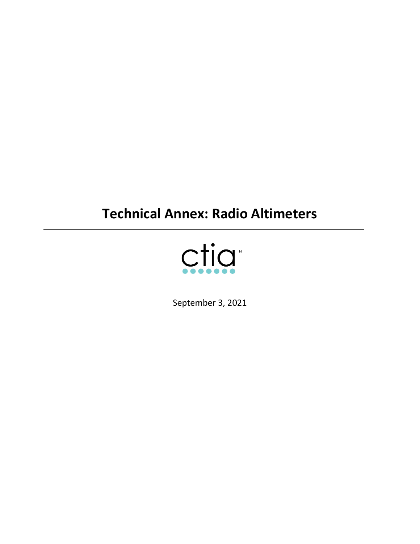# **Technical Annex: Radio Altimeters**



September 3, 2021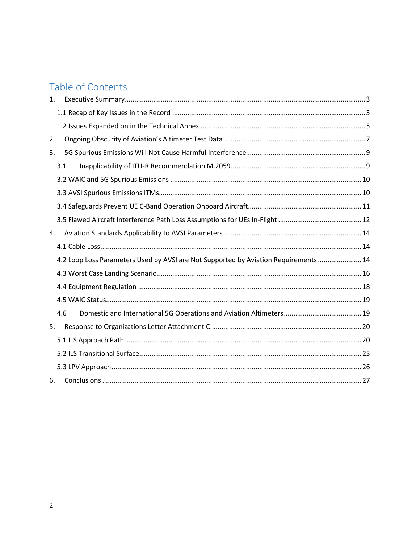# Table of Contents

| $\mathbf{1}$ . |                                                                                      |  |
|----------------|--------------------------------------------------------------------------------------|--|
|                |                                                                                      |  |
|                |                                                                                      |  |
| 2.             |                                                                                      |  |
| 3.             |                                                                                      |  |
|                | 3.1                                                                                  |  |
|                |                                                                                      |  |
|                |                                                                                      |  |
|                |                                                                                      |  |
|                |                                                                                      |  |
| 4.             |                                                                                      |  |
|                |                                                                                      |  |
|                | 4.2 Loop Loss Parameters Used by AVSI are Not Supported by Aviation Requirements  14 |  |
|                |                                                                                      |  |
|                |                                                                                      |  |
|                |                                                                                      |  |
|                | 4.6                                                                                  |  |
| 5.             |                                                                                      |  |
|                |                                                                                      |  |
|                |                                                                                      |  |
|                |                                                                                      |  |
| 6.             |                                                                                      |  |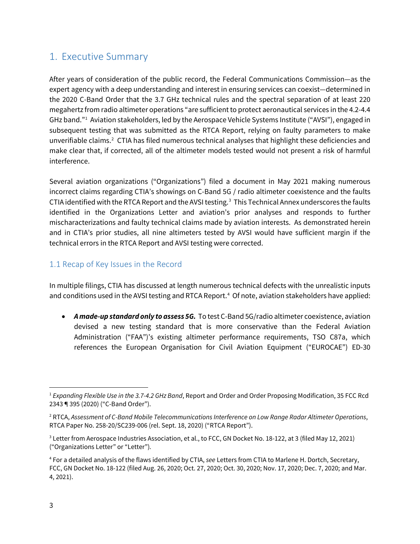### <span id="page-6-0"></span>1. Executive Summary

After years of consideration of the public record, the Federal Communications Commission—as the expert agency with a deep understanding and interest in ensuring services can coexist—determined in the 2020 C-Band Order that the 3.7 GHz technical rules and the spectral separation of at least 220 megahertz from radio altimeter operations "are sufficient to protect aeronautical services in the 4.2-4.4 GHz band."[1](#page-6-2) Aviation stakeholders, led by the Aerospace Vehicle Systems Institute ("AVSI"), engaged in subsequent testing that was submitted as the RTCA Report, relying on faulty parameters to make unverifiable claims. $2$  CTIA has filed numerous technical analyses that highlight these deficiencies and make clear that, if corrected, all of the altimeter models tested would not present a risk of harmful interference.

Several aviation organizations ("Organizations") filed a document in May 2021 making numerous incorrect claims regarding CTIA's showings on C-Band 5G / radio altimeter coexistence and the faults CTIA identified with the RTCA Report and the AVSI testing. [3](#page-6-4) This Technical Annex underscores the faults identified in the Organizations Letter and aviation's prior analyses and responds to further mischaracterizations and faulty technical claims made by aviation interests. As demonstrated herein and in CTIA's prior studies, all nine altimeters tested by AVSI would have sufficient margin if the technical errors in the RTCA Report and AVSI testing were corrected.

### <span id="page-6-1"></span>1.1 Recap of Key Issues in the Record

In multiple filings, CTIA has discussed at length numerous technical defects with the unrealistic inputs and conditions used in the AVSI testing and RTCA Report.<sup>[4](#page-6-5)</sup> Of note, aviation stakeholders have applied:

• *A made-up standard only to assess 5G.* To test C-Band 5G/radio altimeter coexistence, aviation devised a new testing standard that is more conservative than the Federal Aviation Administration ("FAA")'s existing altimeter performance requirements, TSO C87a, which references the European Organisation for Civil Aviation Equipment ("EUROCAE") ED-30

<span id="page-6-2"></span>l <sup>1</sup> *Expanding Flexible Use in the 3.7-4.2 GHz Band*, Report and Order and Order Proposing Modification, 35 FCC Rcd 2343 ¶ 395 (2020) ("C-Band Order").

<span id="page-6-3"></span><sup>2</sup> RTCA, *Assessment of C-Band Mobile Telecommunications Interference on Low Range Radar Altimeter Operations*, RTCA Paper No. 258-20/SC239-006 (rel. Sept. 18, 2020) ("RTCA Report").

<span id="page-6-4"></span><sup>&</sup>lt;sup>3</sup> Letter from Aerospace Industries Association, et al., to FCC, GN Docket No. 18-122, at 3 (filed May 12, 2021) ("Organizations Letter" or "Letter")*.*

<span id="page-6-5"></span><sup>4</sup> For a detailed analysis of the flaws identified by CTIA, *see* Letters from CTIA to Marlene H. Dortch, Secretary, FCC, GN Docket No. 18-122 (filed Aug. 26, 2020; Oct. 27, 2020; Oct. 30, 2020; Nov. 17, 2020; Dec. 7, 2020; and Mar. 4, 2021).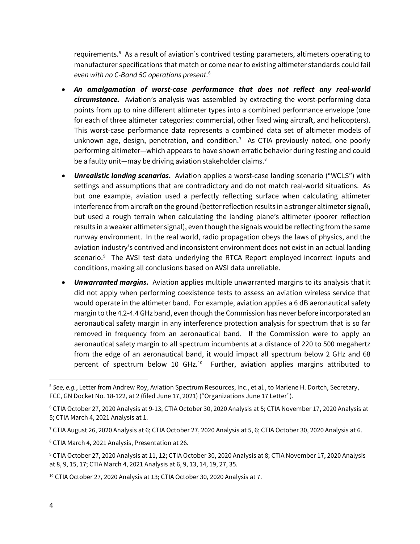requirements.<sup>5</sup> As a result of aviation's contrived testing parameters, altimeters operating to manufacturer specifications that match or come near to existing altimeter standards could fail *even with no C-Band 5G operations present*. [6](#page-7-1)

- *An amalgamation of worst-case performance that does not reflect any real-world circumstance.* Aviation's analysis was assembled by extracting the worst-performing data points from up to nine different altimeter types into a combined performance envelope (one for each of three altimeter categories: commercial, other fixed wing aircraft, and helicopters). This worst-case performance data represents a combined data set of altimeter models of unknown age, design, penetration, and condition.<sup>[7](#page-7-2)</sup> As CTIA previously noted, one poorly performing altimeter—which appears to have shown erratic behavior during testing and could be a faulty unit—may be driving aviation stakeholder claims.<sup>[8](#page-7-3)</sup>
- *Unrealistic landing scenarios.* Aviation applies a worst-case landing scenario ("WCLS") with settings and assumptions that are contradictory and do not match real-world situations. As but one example, aviation used a perfectly reflecting surface when calculating altimeter interference from aircraft on the ground (better reflection results in a stronger altimeter signal), but used a rough terrain when calculating the landing plane's altimeter (poorer reflection results in a weaker altimeter signal), even though the signals would be reflecting from the same runway environment. In the real world, radio propagation obeys the laws of physics, and the aviation industry's contrived and inconsistent environment does not exist in an actual landing scenario.<sup>9</sup> The AVSI test data underlying the RTCA Report employed incorrect inputs and conditions, making all conclusions based on AVSI data unreliable.
- *Unwarranted margins.* Aviation applies multiple unwarranted margins to its analysis that it did not apply when performing coexistence tests to assess an aviation wireless service that would operate in the altimeter band. For example, aviation applies a 6 dB aeronautical safety margin to the 4.2-4.4 GHz band, even though the Commission has never before incorporated an aeronautical safety margin in any interference protection analysis for spectrum that is so far removed in frequency from an aeronautical band. If the Commission were to apply an aeronautical safety margin to all spectrum incumbents at a distance of 220 to 500 megahertz from the edge of an aeronautical band, it would impact all spectrum below 2 GHz and 68 percent of spectrum below [10](#page-7-5) GHz. $^{10}$  Further, aviation applies margins attributed to

<span id="page-7-0"></span><sup>5</sup> *See, e.g.*, Letter from Andrew Roy, Aviation Spectrum Resources, Inc., et al., to Marlene H. Dortch, Secretary, FCC, GN Docket No. 18-122, at 2 (filed June 17, 2021) ("Organizations June 17 Letter").

<span id="page-7-1"></span><sup>6</sup> CTIA October 27, 2020 Analysis at 9-13; CTIA October 30, 2020 Analysis at 5; CTIA November 17, 2020 Analysis at 5; CTIA March 4, 2021 Analysis at 1.

<span id="page-7-2"></span> $7$  CTIA August 26, 2020 Analysis at 6; CTIA October 27, 2020 Analysis at 5, 6; CTIA October 30, 2020 Analysis at 6.

<span id="page-7-3"></span><sup>8</sup> CTIA March 4, 2021 Analysis, Presentation at 26.

<span id="page-7-4"></span><sup>9</sup> CTIA October 27, 2020 Analysis at 11, 12; CTIA October 30, 2020 Analysis at 8; CTIA November 17, 2020 Analysis at 8, 9, 15, 17; CTIA March 4, 2021 Analysis at 6, 9, 13, 14, 19, 27, 35.

<span id="page-7-5"></span><sup>&</sup>lt;sup>10</sup> CTIA October 27, 2020 Analysis at 13; CTIA October 30, 2020 Analysis at 7.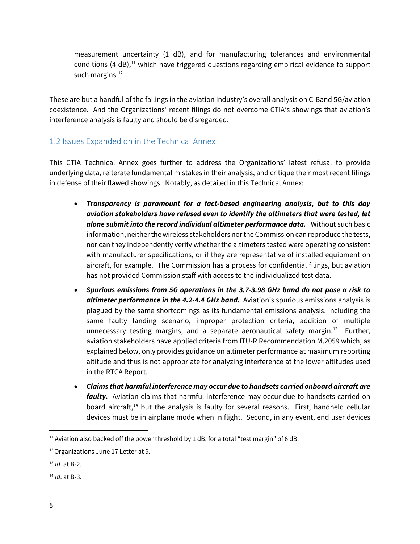measurement uncertainty (1 dB), and for manufacturing tolerances and environmental conditions (4 dB), $<sup>11</sup>$  which have triggered questions regarding empirical evidence to support</sup> such margins.<sup>[12](#page-8-2)</sup>

These are but a handful of the failings in the aviation industry's overall analysis on C-Band 5G/aviation coexistence. And the Organizations' recent filings do not overcome CTIA's showings that aviation's interference analysis is faulty and should be disregarded.

### <span id="page-8-0"></span>1.2 Issues Expanded on in the Technical Annex

This CTIA Technical Annex goes further to address the Organizations' latest refusal to provide underlying data, reiterate fundamental mistakes in their analysis, and critique their most recent filings in defense of their flawed showings. Notably, as detailed in this Technical Annex:

- *Transparency is paramount for a fact-based engineering analysis, but to this day aviation stakeholders have refused even to identify the altimeters that were tested, let alone submit into the record individual altimeter performance data.* Without such basic information, neither the wireless stakeholders nor the Commission can reproduce the tests, nor can they independently verify whether the altimeters tested were operating consistent with manufacturer specifications, or if they are representative of installed equipment on aircraft, for example. The Commission has a process for confidential filings, but aviation has not provided Commission staff with access to the individualized test data.
- *Spurious emissions from 5G operations in the 3.7-3.98 GHz band do not pose a risk to altimeter performance in the 4.2-4.4 GHz band.* Aviation's spurious emissions analysis is plagued by the same shortcomings as its fundamental emissions analysis, including the same faulty landing scenario, improper protection criteria, addition of multiple unnecessary testing margins, and a separate aeronautical safety margin.<sup>[13](#page-8-3)</sup> Further, aviation stakeholders have applied criteria from ITU-R Recommendation M.2059 which, as explained below, only provides guidance on altimeter performance at maximum reporting altitude and thus is not appropriate for analyzing interference at the lower altitudes used in the RTCA Report.
- *Claims that harmful interference may occur due to handsets carried onboard aircraft are faulty.* Aviation claims that harmful interference may occur due to handsets carried on board aircraft,<sup>[14](#page-8-4)</sup> but the analysis is faulty for several reasons. First, handheld cellular devices must be in airplane mode when in flight. Second, in any event, end user devices

 $\overline{a}$ 

<span id="page-8-1"></span><sup>&</sup>lt;sup>11</sup> Aviation also backed off the power threshold by 1 dB, for a total "test margin" of 6 dB.

<span id="page-8-2"></span><sup>&</sup>lt;sup>12</sup> Organizations June 17 Letter at 9.

<span id="page-8-3"></span><sup>13</sup> *Id*. at B-2.

<span id="page-8-4"></span><sup>14</sup> *Id*. at B-3.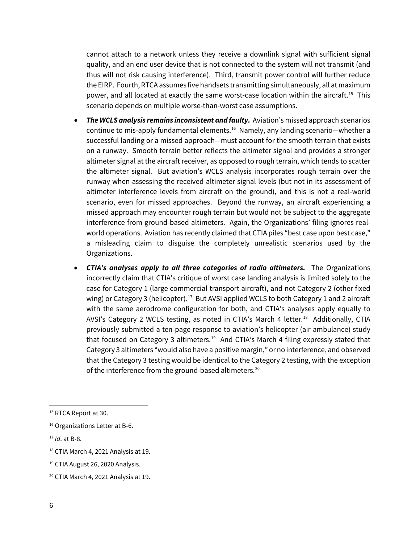cannot attach to a network unless they receive a downlink signal with sufficient signal quality, and an end user device that is not connected to the system will not transmit (and thus will not risk causing interference). Third, transmit power control will further reduce the EIRP. Fourth, RTCA assumes five handsets transmitting simultaneously, all at maximum power, and all located at exactly the same worst-case location within the aircraft.<sup>15</sup> This scenario depends on multiple worse-than-worst case assumptions.

- *The WCLS analysis remains inconsistent and faulty.* Aviation's missed approach scenarios continue to mis-apply fundamental elements.<sup>16</sup> Namely, any landing scenario—whether a successful landing or a missed approach—must account for the smooth terrain that exists on a runway. Smooth terrain better reflects the altimeter signal and provides a stronger altimeter signal at the aircraft receiver, as opposed to rough terrain, which tends to scatter the altimeter signal. But aviation's WCLS analysis incorporates rough terrain over the runway when assessing the received altimeter signal levels (but not in its assessment of altimeter interference levels from aircraft on the ground), and this is not a real-world scenario, even for missed approaches. Beyond the runway, an aircraft experiencing a missed approach may encounter rough terrain but would not be subject to the aggregate interference from ground-based altimeters. Again, the Organizations' filing ignores realworld operations. Aviation has recently claimed that CTIA piles "best case upon best case," a misleading claim to disguise the completely unrealistic scenarios used by the Organizations.
- *CTIA's analyses apply to all three categories of radio altimeters.* The Organizations incorrectly claim that CTIA's critique of worst case landing analysis is limited solely to the case for Category 1 (large commercial transport aircraft), and not Category 2 (other fixed wing) or Category 3 (helicopter).<sup>17</sup> But AVSI applied WCLS to both Category 1 and 2 aircraft with the same aerodrome configuration for both, and CTIA's analyses apply equally to AVSI's Category 2 WCLS testing, as noted in CTIA's March 4 letter.<sup>18</sup> Additionally, CTIA previously submitted a ten-page response to aviation's helicopter (air ambulance) study that focused on Category 3 altimeters.<sup>[19](#page-9-4)</sup> And CTIA's March 4 filing expressly stated that Category 3 altimeters "would also have a positive margin," or no interference, and observed that the Category 3 testing would be identical to the Category 2 testing, with the exception of the interference from the ground-based altimeters.<sup>20</sup>

<span id="page-9-0"></span><sup>&</sup>lt;sup>15</sup> RTCA Report at 30.

<span id="page-9-1"></span><sup>&</sup>lt;sup>16</sup> Organizations Letter at B-6.

<span id="page-9-2"></span><sup>17</sup> *Id*. at B-8.

<span id="page-9-3"></span><sup>&</sup>lt;sup>18</sup> CTIA March 4, 2021 Analysis at 19.

<span id="page-9-4"></span><sup>&</sup>lt;sup>19</sup> CTIA August 26, 2020 Analysis.

<span id="page-9-5"></span><sup>20</sup> CTIA March 4, 2021 Analysis at 19.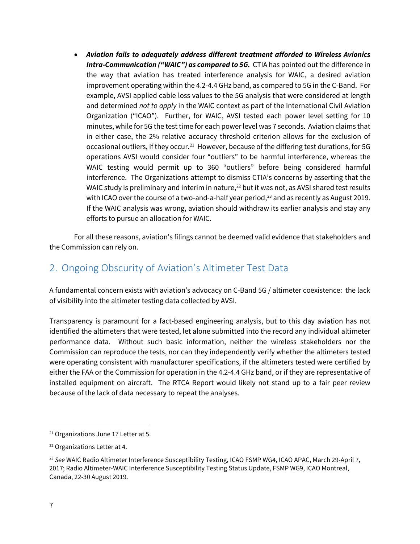• *Aviation fails to adequately address different treatment afforded to Wireless Avionics Intra-Communication ("WAIC") as compared to 5G.* CTIA has pointed out the difference in the way that aviation has treated interference analysis for WAIC, a desired aviation improvement operating within the 4.2-4.4 GHz band, as compared to 5G in the C-Band. For example, AVSI applied cable loss values to the 5G analysis that were considered at length and determined *not to apply* in the WAIC context as part of the International Civil Aviation Organization ("ICAO"). Further, for WAIC, AVSI tested each power level setting for 10 minutes, while for 5G the test time for each power level was 7 seconds. Aviation claims that in either case, the 2% relative accuracy threshold criterion allows for the exclusion of occasional outliers, if they occur.<sup>[21](#page-10-1)</sup> However, because of the differing test durations, for 5G operations AVSI would consider four "outliers" to be harmful interference, whereas the WAIC testing would permit up to 360 "outliers" before being considered harmful interference. The Organizations attempt to dismiss CTIA's concerns by asserting that the WAIC study is preliminary and interim in nature, $^{22}$  $^{22}$  $^{22}$  but it was not, as AVSI shared test results with ICAO over the course of a two-and-a-half year period, $^{23}$  $^{23}$  $^{23}$  and as recently as August 2019. If the WAIC analysis was wrong, aviation should withdraw its earlier analysis and stay any efforts to pursue an allocation for WAIC.

For all these reasons, aviation's filings cannot be deemed valid evidence that stakeholders and the Commission can rely on.

# <span id="page-10-0"></span>2. Ongoing Obscurity of Aviation's Altimeter Test Data

A fundamental concern exists with aviation's advocacy on C-Band 5G / altimeter coexistence: the lack of visibility into the altimeter testing data collected by AVSI.

Transparency is paramount for a fact-based engineering analysis, but to this day aviation has not identified the altimeters that were tested, let alone submitted into the record any individual altimeter performance data. Without such basic information, neither the wireless stakeholders nor the Commission can reproduce the tests, nor can they independently verify whether the altimeters tested were operating consistent with manufacturer specifications, if the altimeters tested were certified by either the FAA or the Commission for operation in the 4.2-4.4 GHz band, or if they are representative of installed equipment on aircraft. The RTCA Report would likely not stand up to a fair peer review because of the lack of data necessary to repeat the analyses.

<span id="page-10-1"></span><sup>&</sup>lt;sup>21</sup> Organizations June 17 Letter at 5.

<span id="page-10-2"></span><sup>22</sup> Organizations Letter at 4.

<span id="page-10-3"></span><sup>&</sup>lt;sup>23</sup> See WAIC Radio Altimeter Interference Susceptibility Testing, ICAO FSMP WG4, ICAO APAC, March 29-April 7, 2017; Radio Altimeter-WAIC Interference Susceptibility Testing Status Update, FSMP WG9, ICAO Montreal, Canada, 22-30 August 2019.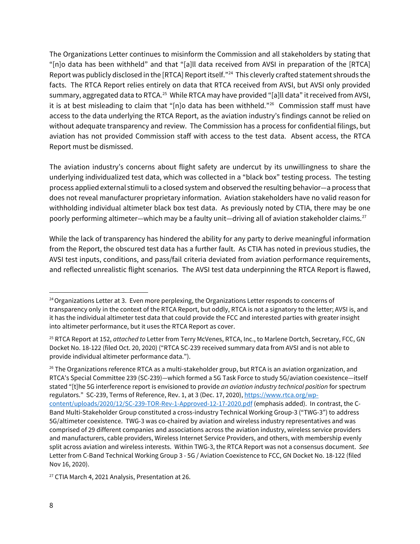The Organizations Letter continues to misinform the Commission and all stakeholders by stating that "[n]o data has been withheld" and that "[a]ll data received from AVSI in preparation of the [RTCA] Report was publicly disclosed in the [RTCA] Report itself."[24](#page-11-0) This cleverly crafted statement shrouds the facts. The RTCA Report relies entirely on data that RTCA received from AVSI, but AVSI only provided summary, aggregated data to RTCA.[25](#page-11-1) While RTCA may have provided "[a]ll data" it received from AVSI, it is at best misleading to claim that "[n]o data has been withheld."<sup>26</sup> Commission staff must have access to the data underlying the RTCA Report, as the aviation industry's findings cannot be relied on without adequate transparency and review. The Commission has a process for confidential filings, but aviation has not provided Commission staff with access to the test data. Absent access, the RTCA Report must be dismissed.

The aviation industry's concerns about flight safety are undercut by its unwillingness to share the underlying individualized test data, which was collected in a "black box" testing process. The testing process applied external stimuli to a closed system and observed the resulting behavior—a process that does not reveal manufacturer proprietary information. Aviation stakeholders have no valid reason for withholding individual altimeter black box test data. As previously noted by CTIA, there may be one poorly performing altimeter—which may be a faulty unit—driving all of aviation stakeholder claims. [27](#page-11-3)

While the lack of transparency has hindered the ability for any party to derive meaningful information from the Report, the obscured test data has a further fault. As CTIA has noted in previous studies, the AVSI test inputs, conditions, and pass/fail criteria deviated from aviation performance requirements, and reflected unrealistic flight scenarios. The AVSI test data underpinning the RTCA Report is flawed,

<span id="page-11-3"></span><sup>27</sup> CTIA March 4, 2021 Analysis, Presentation at 26.

 $\overline{\phantom{a}}$ 

<span id="page-11-0"></span> $24$  Organizations Letter at 3. Even more perplexing, the Organizations Letter responds to concerns of transparency only in the context of the RTCA Report, but oddly, RTCA is not a signatory to the letter; AVSI is, and it has the individual altimeter test data that could provide the FCC and interested parties with greater insight into altimeter performance, but it uses the RTCA Report as cover.

<span id="page-11-1"></span><sup>25</sup> RTCA Report at 152, *attached to* Letter from Terry McVenes, RTCA, Inc., to Marlene Dortch, Secretary, FCC, GN Docket No. 18-122 (filed Oct. 20, 2020) ("RTCA SC-239 received summary data from AVSI and is not able to provide individual altimeter performance data.").

<span id="page-11-2"></span> $26$  The Organizations reference RTCA as a multi-stakeholder group, but RTCA is an aviation organization, and RTCA's Special Committee 239 (SC-239)—which formed a 5G Task Force to study 5G/aviation coexistence—itself stated "[t]he 5G interference report is envisioned to provide *an aviation industry technical position* for spectrum regulators." SC-239, Terms of Reference, Rev. 1, at 3 (Dec. 17, 2020)[, https://www.rtca.org/wp](https://www.rtca.org/wp-content/uploads/2020/12/SC-239-TOR-Rev-1-Approved-12-17-2020.pdf)[content/uploads/2020/12/SC-239-TOR-Rev-1-Approved-12-17-2020.pdf](https://www.rtca.org/wp-content/uploads/2020/12/SC-239-TOR-Rev-1-Approved-12-17-2020.pdf) (emphasis added). In contrast, the C-Band Multi-Stakeholder Group constituted a cross-industry Technical Working Group-3 ("TWG-3") to address 5G/altimeter coexistence. TWG-3 was co-chaired by aviation and wireless industry representatives and was comprised of 29 different companies and associations across the aviation industry, wireless service providers and manufacturers, cable providers, Wireless Internet Service Providers, and others, with membership evenly split across aviation and wireless interests. Within TWG-3, the RTCA Report was not a consensus document. *See* Letter from C-Band Technical Working Group 3 - 5G / Aviation Coexistence to FCC, GN Docket No. 18-122 (filed Nov 16, 2020).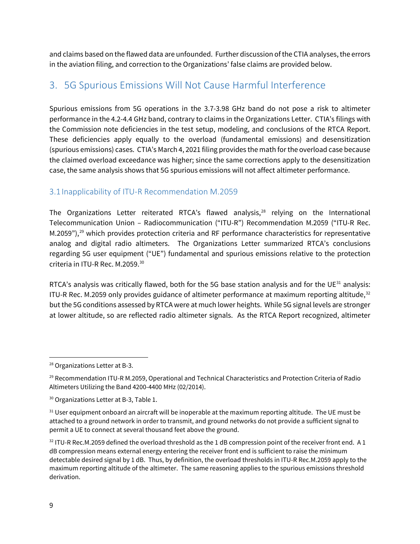and claims based on the flawed data are unfounded. Further discussion of the CTIA analyses,the errors in the aviation filing, and correction to the Organizations' false claims are provided below.

# <span id="page-12-0"></span>3. 5G Spurious Emissions Will Not Cause Harmful Interference

Spurious emissions from 5G operations in the 3.7-3.98 GHz band do not pose a risk to altimeter performance in the 4.2-4.4 GHz band, contrary to claims in the Organizations Letter. CTIA's filings with the Commission note deficiencies in the test setup, modeling, and conclusions of the RTCA Report. These deficiencies apply equally to the overload (fundamental emissions) and desensitization (spurious emissions) cases. CTIA's March 4, 2021 filing provides the math for the overload case because the claimed overload exceedance was higher; since the same corrections apply to the desensitization case, the same analysis shows that 5G spurious emissions will not affect altimeter performance.

### <span id="page-12-1"></span>3.1 Inapplicability of ITU-R Recommendation M.2059

The Organizations Letter reiterated RTCA's flawed analysis, [28](#page-12-2) relying on the International Telecommunication Union – Radiocommunication ("ITU-R") Recommendation M.2059 ("ITU-R Rec. M.2059"),<sup>[29](#page-12-3)</sup> which provides protection criteria and RF performance characteristics for representative analog and digital radio altimeters. The Organizations Letter summarized RTCA's conclusions regarding 5G user equipment ("UE") fundamental and spurious emissions relative to the protection criteria in ITU-R Rec. M.2059. [30](#page-12-4)

RTCA's analysis was critically flawed, both for the 5G base station analysis and for the UE $^{31}$  $^{31}$  $^{31}$  analysis: ITU-R Rec. M.2059 only provides guidance of altimeter performance at maximum reporting altitude,<sup>[32](#page-12-6)</sup> but the 5G conditions assessed by RTCA were at much lower heights. While 5G signal levels are stronger at lower altitude, so are reflected radio altimeter signals. As the RTCA Report recognized, altimeter

 $\overline{a}$ 

<span id="page-12-2"></span><sup>28</sup> Organizations Letter at B-3.

<span id="page-12-3"></span><sup>&</sup>lt;sup>29</sup> Recommendation ITU-R M.2059, Operational and Technical Characteristics and Protection Criteria of Radio Altimeters Utilizing the Band 4200-4400 MHz (02/2014).

<span id="page-12-4"></span><sup>&</sup>lt;sup>30</sup> Organizations Letter at B-3, Table 1.

<span id="page-12-5"></span><sup>&</sup>lt;sup>31</sup> User equipment onboard an aircraft will be inoperable at the maximum reporting altitude. The UE must be attached to a ground network in order to transmit, and ground networks do not provide a sufficient signal to permit a UE to connect at several thousand feet above the ground.

<span id="page-12-6"></span><sup>&</sup>lt;sup>32</sup> ITU-R Rec.M.2059 defined the overload threshold as the 1 dB compression point of the receiver front end. A 1 dB compression means external energy entering the receiver front end is sufficient to raise the minimum detectable desired signal by 1 dB. Thus, by definition, the overload thresholds in ITU-R Rec.M.2059 apply to the maximum reporting altitude of the altimeter. The same reasoning applies to the spurious emissions threshold derivation.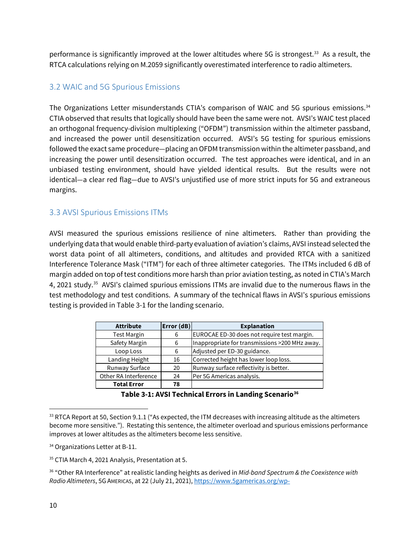performance is significantly improved at the lower altitudes where 5G is strongest.<sup>33</sup> As a result, the RTCA calculations relying on M.2059 significantly overestimated interference to radio altimeters.

### <span id="page-13-0"></span>3.2 WAIC and 5G Spurious Emissions

The Organizations Letter misunderstands CTIA's comparison of WAIC and 5G spurious emissions.<sup>[34](#page-13-3)</sup> CTIA observed that results that logically should have been the same were not. AVSI's WAIC test placed an orthogonal frequency-division multiplexing ("OFDM") transmission within the altimeter passband, and increased the power until desensitization occurred. AVSI's 5G testing for spurious emissions followed the exact same procedure—placing an OFDM transmission within the altimeter passband, and increasing the power until desensitization occurred. The test approaches were identical, and in an unbiased testing environment, should have yielded identical results. But the results were not identical—a clear red flag—due to AVSI's unjustified use of more strict inputs for 5G and extraneous margins.

### <span id="page-13-1"></span>3.3 AVSI Spurious Emissions ITMs

AVSI measured the spurious emissions resilience of nine altimeters. Rather than providing the underlying data that would enable third-party evaluation of aviation's claims, AVSI instead selected the worst data point of all altimeters, conditions, and altitudes and provided RTCA with a sanitized Interference Tolerance Mask ("ITM") for each of three altimeter categories. The ITMs included 6 dB of margin added on top of test conditions more harsh than prior aviation testing, as noted in CTIA's March 4, 2021 study.<sup>35</sup> AVSI's claimed spurious emissions ITMs are invalid due to the numerous flaws in the test methodology and test conditions. A summary of the technical flaws in AVSI's spurious emissions testing is provided in Table 3-1 for the landing scenario.

| <b>Attribute</b>      | Error (dB) | <b>Explanation</b>                             |
|-----------------------|------------|------------------------------------------------|
| <b>Test Margin</b>    | 6          | EUROCAE ED-30 does not require test margin.    |
| Safety Margin         | 6          | Inappropriate for transmissions >200 MHz away. |
| Loop Loss             | 6          | Adjusted per ED-30 guidance.                   |
| Landing Height        | 16         | Corrected height has lower loop loss.          |
| Runway Surface        | 20         | Runway surface reflectivity is better.         |
| Other RA Interference | 24         | Per 5G Americas analysis.                      |
| <b>Total Error</b>    | 78         |                                                |

**Table 3-1: AVSI Technical Errors in Landing Scenario[36](#page-13-5)**

 $\overline{\phantom{a}}$ 

<span id="page-13-2"></span><sup>&</sup>lt;sup>33</sup> RTCA Report at 50, Section 9.1.1 ("As expected, the ITM decreases with increasing altitude as the altimeters become more sensitive."). Restating this sentence, the altimeter overload and spurious emissions performance improves at lower altitudes as the altimeters become less sensitive.

<span id="page-13-3"></span><sup>&</sup>lt;sup>34</sup> Organizations Letter at B-11.

<span id="page-13-4"></span><sup>&</sup>lt;sup>35</sup> CTIA March 4, 2021 Analysis, Presentation at 5.

<span id="page-13-5"></span><sup>36</sup> "Other RA Interference" at realistic landing heights as derived in *Mid-band Spectrum & the Coexistence with Radio Altimeters*, 5G AMERICAS, at 22 (July 21, 2021)[, https://www.5gamericas.org/wp-](https://www.5gamericas.org/wp-content/uploads/2021/07/Presentation-Mid-Band-Spectrum-and-the-Co-Existence-with-Radio-Altimeters.pdf)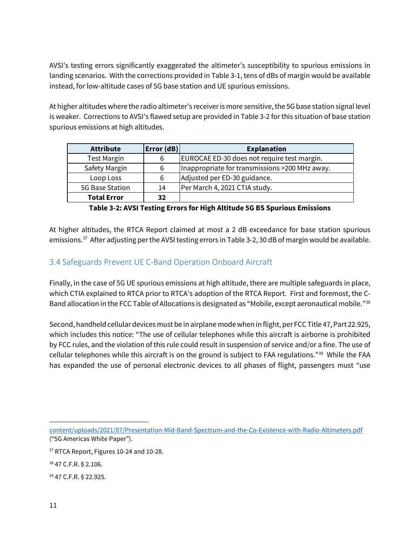AVSI's testing errors significantly exaggerated the altimeter's susceptibility to spurious emissions in landing scenarios. With the corrections provided in Table 3-1, tens of dBs of margin would be available instead, for low-altitude cases of 5G base station and UE spurious emissions.

At higher altitudes where the radio altimeter's receiver is more sensitive, the 5G base station signal level is weaker. Corrections to AVSI's flawed setup are provided in Table 3-2 for this situation of base station spurious emissions at high altitudes.

| <b>Attribute</b>   | Error(dB) | <b>Explanation</b>                             |
|--------------------|-----------|------------------------------------------------|
| <b>Test Margin</b> | 6         | EUROCAE ED-30 does not require test margin.    |
| Safety Margin      | 6         | Inappropriate for transmissions >200 MHz away. |
| Loop Loss          | 6         | Adjusted per ED-30 guidance.                   |
| 5G Base Station    | 14        | Per March 4, 2021 CTIA study.                  |
| <b>Total Error</b> | 32        |                                                |

**Table 3-2: AVSI Testing Errors for High Altitude 5G BS Spurious Emissions**

At higher altitudes, the RTCA Report claimed at most a 2 dB exceedance for base station spurious emissions.<sup>37</sup> After adjusting per the AVSI testing errors in Table 3-2, 30 dB of margin would be available.

### <span id="page-14-0"></span>3.4 Safeguards Prevent UE C-Band Operation Onboard Aircraft

Finally, in the case of 5G UE spurious emissions at high altitude, there are multiple safeguards in place, which CTIA explained to RTCA prior to RTCA's adoption of the RTCA Report. First and foremost, the C-Band allocation in the FCC Table of Allocations is designated as "Mobile, except aeronautical mobile."[38](#page-14-2)

Second, handheld cellular devices must be in airplane mode when in flight, per FCC Title 47, Part 22.925, which includes this notice: "The use of cellular telephones while this aircraft is airborne is prohibited by FCC rules, and the violation of this rule could result in suspension of service and/or a fine. The use of cellular telephones while this aircraft is on the ground is subject to FAA regulations."[39](#page-14-3) While the FAA has expanded the use of personal electronic devices to all phases of flight, passengers must "use

l [content/uploads/2021/07/Presentation-Mid-Band-Spectrum-and-the-Co-Existence-with-Radio-Altimeters.pdf](https://www.5gamericas.org/wp-content/uploads/2021/07/Presentation-Mid-Band-Spectrum-and-the-Co-Existence-with-Radio-Altimeters.pdf) ("5G Americas White Paper").

<span id="page-14-3"></span><sup>39</sup> 47 C.F.R. § 22.925.

<span id="page-14-1"></span><sup>&</sup>lt;sup>37</sup> RTCA Report, Figures 10-24 and 10-28.

<span id="page-14-2"></span><sup>38</sup> 47 C.F.R. § 2.106.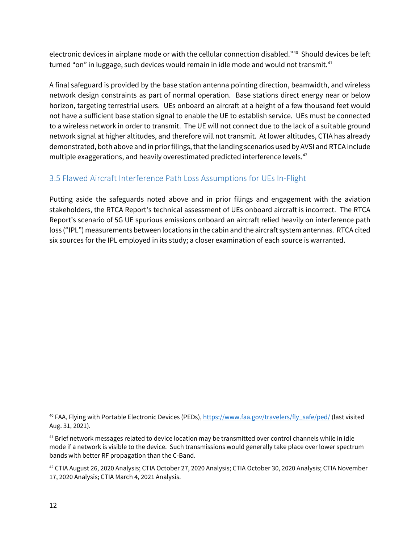electronic devices in airplane mode or with the cellular connection disabled."<sup>[40](#page-15-1)</sup> Should devices be left turned "on" in luggage, such devices would remain in idle mode and would not transmit.<sup>[41](#page-15-2)</sup>

A final safeguard is provided by the base station antenna pointing direction, beamwidth, and wireless network design constraints as part of normal operation. Base stations direct energy near or below horizon, targeting terrestrial users. UEs onboard an aircraft at a height of a few thousand feet would not have a sufficient base station signal to enable the UE to establish service. UEs must be connected to a wireless network in order to transmit. The UE will not connect due to the lack of a suitable ground network signal at higher altitudes, and therefore will not transmit. At lower altitudes, CTIA has already demonstrated, both above and in prior filings, that the landing scenarios used by AVSI and RTCA include multiple exaggerations, and heavily overestimated predicted interference levels.<sup>[42](#page-15-3)</sup>

### <span id="page-15-0"></span>3.5 Flawed Aircraft Interference Path Loss Assumptions for UEs In-Flight

Putting aside the safeguards noted above and in prior filings and engagement with the aviation stakeholders, the RTCA Report's technical assessment of UEs onboard aircraft is incorrect. The RTCA Report's scenario of 5G UE spurious emissions onboard an aircraft relied heavily on interference path loss ("IPL") measurements between locations in the cabin and the aircraft system antennas. RTCA cited six sources for the IPL employed in its study; a closer examination of each source is warranted.

 $\overline{\phantom{a}}$ 

<span id="page-15-1"></span><sup>&</sup>lt;sup>40</sup> FAA, Flying with Portable Electronic Devices (PEDs)[, https://www.faa.gov/travelers/fly\\_safe/ped/](https://www.faa.gov/travelers/fly_safe/ped/) (last visited Aug. 31, 2021).

<span id="page-15-2"></span><sup>&</sup>lt;sup>41</sup> Brief network messages related to device location may be transmitted over control channels while in idle mode if a network is visible to the device. Such transmissions would generally take place over lower spectrum bands with better RF propagation than the C-Band.

<span id="page-15-3"></span><sup>&</sup>lt;sup>42</sup> CTIA August 26, 2020 Analysis; CTIA October 27, 2020 Analysis; CTIA October 30, 2020 Analysis; CTIA November 17, 2020 Analysis; CTIA March 4, 2021 Analysis.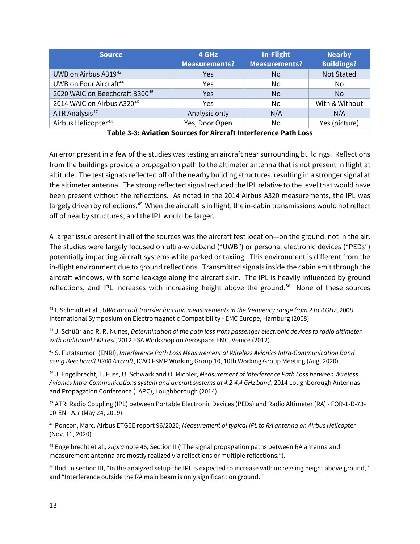| <b>Source</b>                      | 4 GHz<br><b>Measurements?</b> | In-Flight<br><b>Measurements?</b> | <b>Nearby</b><br><b>Buildings?</b> |
|------------------------------------|-------------------------------|-----------------------------------|------------------------------------|
| UWB on Airbus A31943               | Yes                           | No                                | <b>Not Stated</b>                  |
| UWB on Four Aircraft <sup>44</sup> | Yes                           | No                                | No.                                |
| 2020 WAIC on Beechcraft B30045     | Yes                           | <b>No</b>                         | No.                                |
| 2014 WAIC on Airbus A32046         | Yes                           | No                                | With & Without                     |
| ATR Analysis <sup>47</sup>         | Analysis only                 | N/A                               | N/A                                |
| Airbus Helicopter <sup>48</sup>    | Yes, Door Open                | No                                | Yes (picture)                      |

**Table 3-3: Aviation Sources for Aircraft Interference Path Loss**

An error present in a few of the studies was testing an aircraft near surrounding buildings. Reflections from the buildings provide a propagation path to the altimeter antenna that is not present in flight at altitude. The test signals reflected off of the nearby building structures, resulting in a stronger signal at the altimeter antenna. The strong reflected signal reduced the IPL relative to the level that would have been present without the reflections. As noted in the 2014 Airbus A320 measurements, the IPL was largely driven by reflections.<sup>49</sup> When the aircraft is in flight, the in-cabin transmissions would not reflect off of nearby structures, and the IPL would be larger.

A larger issue present in all of the sources was the aircraft test location—on the ground, not in the air. The studies were largely focused on ultra-wideband ("UWB") or personal electronic devices ("PEDs") potentially impacting aircraft systems while parked or taxiing. This environment is different from the in-flight environment due to ground reflections. Transmitted signals inside the cabin emit through the aircraft windows, with some leakage along the aircraft skin. The IPL is heavily influenced by ground reflections, and IPL increases with increasing height above the ground.<sup>[50](#page-16-7)</sup> None of these sources

<span id="page-16-3"></span><sup>46</sup> J. Engelbrecht, T. Fuss, U. Schwark and O. Michler, *Measurement of Interference Path Loss between Wireless Avionics Intra-Communications system and aircraft systems at 4.2-4.4 GHz band*, 2014 Loughborough Antennas and Propagation Conference (LAPC), Loughborough (2014).

<span id="page-16-4"></span><sup>47</sup> ATR: Radio Coupling (IPL) between Portable Electronic Devices (PEDs) and Radio Altimeter (RA) - FOR-1-D-73- 00-EN - A.7 (May 24, 2019).

<span id="page-16-5"></span><sup>48</sup> Ponçon, Marc. Airbus ETGEE report 96/2020, *Measurement of typical IPL to RA antenna on Airbus Helicopter* (Nov. 11, 2020).

<span id="page-16-6"></span><sup>49</sup> Engelbrecht et al., *supra* note 46, Section II ("The signal propagation paths between RA antenna and measurement antenna are mostly realized via reflections or multiple reflections.").

<span id="page-16-7"></span>50 Ibid, in section III, "In the analyzed setup the IPL is expected to increase with increasing height above ground," and "Interference outside the RA main beam is only significant on ground."

<span id="page-16-0"></span><sup>43</sup> I. Schmidt et al., *UWB aircraft transfer function measurements in the frequency range from 2 to 8 GHz*, 2008 International Symposium on Electromagnetic Compatibility - EMC Europe, Hamburg (2008).

<span id="page-16-1"></span><sup>44</sup> J. Schüür and R. R. Nunes, *Determination of the path loss from passenger electronic devices to radio altimeter with additional EMI test*, 2012 ESA Workshop on Aerospace EMC, Venice (2012).

<span id="page-16-2"></span><sup>45</sup> S. Futatsumori (ENRI), *Interference Path Loss Measurement at Wireless Avionics Intra-Communication Band using Beechcraft B300 Aircraft*, ICAO FSMP Working Group 10, 10th Working Group Meeting (Aug. 2020).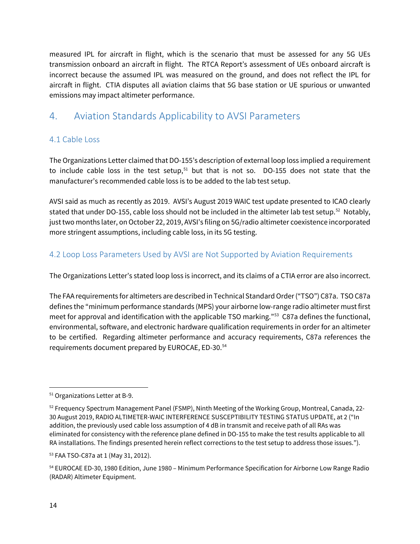measured IPL for aircraft in flight, which is the scenario that must be assessed for any 5G UEs transmission onboard an aircraft in flight. The RTCA Report's assessment of UEs onboard aircraft is incorrect because the assumed IPL was measured on the ground, and does not reflect the IPL for aircraft in flight. CTIA disputes all aviation claims that 5G base station or UE spurious or unwanted emissions may impact altimeter performance.

# <span id="page-17-0"></span>4. Aviation Standards Applicability to AVSI Parameters

### <span id="page-17-1"></span>4.1 Cable Loss

The Organizations Letter claimed that DO-155's description of external loop loss implied a requirement to include cable loss in the test setup, $51$  but that is not so. DO-155 does not state that the manufacturer's recommended cable loss is to be added to the lab test setup.

AVSI said as much as recently as 2019. AVSI's August 2019 WAIC test update presented to ICAO clearly stated that under DO-155, cable loss should not be included in the altimeter lab test setup. [52](#page-17-4) Notably, just two months later, on October 22, 2019, AVSI's filing on 5G/radio altimeter coexistence incorporated more stringent assumptions, including cable loss, in its 5G testing.

### <span id="page-17-2"></span>4.2 Loop Loss Parameters Used by AVSI are Not Supported by Aviation Requirements

The Organizations Letter's stated loop loss is incorrect, and its claims of a CTIA error are also incorrect.

The FAA requirements for altimeters are described in Technical Standard Order ("TSO") C87a. TSO C87a defines the "minimum performance standards (MPS) your airborne low-range radio altimeter must first meet for approval and identification with the applicable TSO marking."<sup>53</sup> C87a defines the functional, environmental, software, and electronic hardware qualification requirements in order for an altimeter to be certified. Regarding altimeter performance and accuracy requirements, C87a references the requirements document prepared by EUROCAE, ED-30. [54](#page-17-6)

<span id="page-17-3"></span><sup>51</sup> Organizations Letter at B-9.

<span id="page-17-4"></span> $52$  Frequency Spectrum Management Panel (FSMP), Ninth Meeting of the Working Group, Montreal, Canada, 22-30 August 2019, RADIO ALTIMETER-WAIC INTERFERENCE SUSCEPTIBILITY TESTING STATUS UPDATE, at 2 ("In addition, the previously used cable loss assumption of 4 dB in transmit and receive path of all RAs was eliminated for consistency with the reference plane defined in DO-155 to make the test results applicable to all RA installations. The findings presented herein reflect corrections to the test setup to address those issues.").

<span id="page-17-5"></span><sup>53</sup> FAA TSO-C87a at 1 (May 31, 2012).

<span id="page-17-6"></span><sup>54</sup> EUROCAE ED-30, 1980 Edition, June 1980 – Minimum Performance Specification for Airborne Low Range Radio (RADAR) Altimeter Equipment.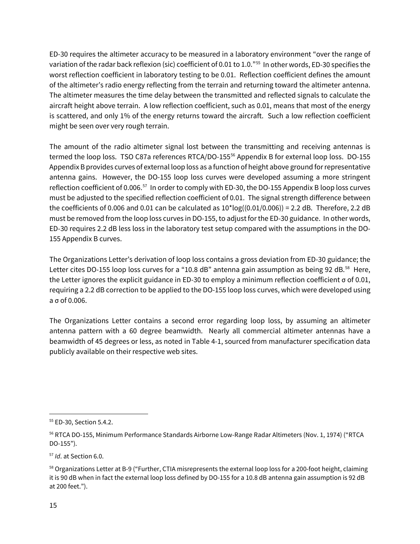ED-30 requires the altimeter accuracy to be measured in a laboratory environment "over the range of variation of the radar back reflexion (sic) coefficient of 0.01 to 1.0."[55](#page-18-0) In other words, ED-30 specifies the worst reflection coefficient in laboratory testing to be 0.01. Reflection coefficient defines the amount of the altimeter's radio energy reflecting from the terrain and returning toward the altimeter antenna. The altimeter measures the time delay between the transmitted and reflected signals to calculate the aircraft height above terrain. A low reflection coefficient, such as 0.01, means that most of the energy is scattered, and only 1% of the energy returns toward the aircraft. Such a low reflection coefficient might be seen over very rough terrain.

The amount of the radio altimeter signal lost between the transmitting and receiving antennas is termed the loop loss. TSO C87a references RTCA/DO-155<sup>56</sup> Appendix B for external loop loss. DO-155 Appendix B provides curves of external loop loss as a function of height above ground for representative antenna gains. However, the DO-155 loop loss curves were developed assuming a more stringent reflection coefficient of 0.006.<sup>57</sup> In order to comply with ED-30, the DO-155 Appendix B loop loss curves must be adjusted to the specified reflection coefficient of 0.01. The signal strength difference between the coefficients of 0.006 and 0.01 can be calculated as  $10<sup>*</sup>log((0.01/0.006)) = 2.2$  dB. Therefore, 2.2 dB must be removed from the loop loss curves in DO-155, to adjust for the ED-30 guidance. In other words, ED-30 requires 2.2 dB less loss in the laboratory test setup compared with the assumptions in the DO-155 Appendix B curves.

The Organizations Letter's derivation of loop loss contains a gross deviation from ED-30 guidance; the Letter cites DO-155 loop loss curves for a "10.8 dB" antenna gain assumption as being 92 dB.<sup>58</sup> Here, the Letter ignores the explicit guidance in ED-30 to employ a minimum reflection coefficient σ of 0.01, requiring a 2.2 dB correction to be applied to the DO-155 loop loss curves, which were developed using a σ of 0.006.

The Organizations Letter contains a second error regarding loop loss, by assuming an altimeter antenna pattern with a 60 degree beamwidth. Nearly all commercial altimeter antennas have a beamwidth of 45 degrees or less, as noted in Table 4-1, sourced from manufacturer specification data publicly available on their respective web sites.

<span id="page-18-0"></span><sup>55</sup> ED-30, Section 5.4.2.

<span id="page-18-1"></span><sup>56</sup> RTCA DO-155, Minimum Performance Standards Airborne Low-Range Radar Altimeters (Nov. 1, 1974) ("RTCA DO-155").

<span id="page-18-2"></span><sup>57</sup> *Id*. at Section 6.0.

<span id="page-18-3"></span><sup>&</sup>lt;sup>58</sup> Organizations Letter at B-9 ("Further, CTIA misrepresents the external loop loss for a 200-foot height, claiming it is 90 dB when in fact the external loop loss defined by DO-155 for a 10.8 dB antenna gain assumption is 92 dB at 200 feet.").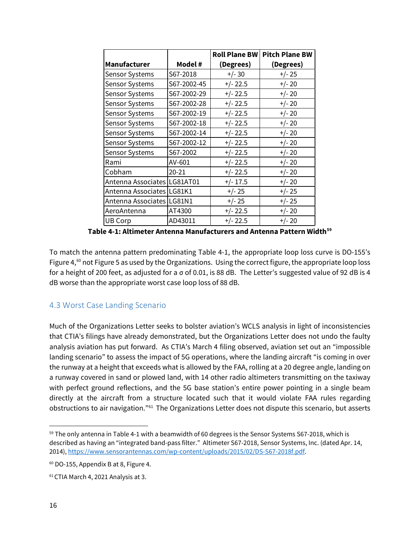|                             |                 | <b>Roll Plane BW</b> | <b>Pitch Plane BW</b> |
|-----------------------------|-----------------|----------------------|-----------------------|
| <b>Manufacturer</b>         | Model #         | (Degrees)            | (Degrees)             |
| <b>Sensor Systems</b>       | S67-2018        | $+/- 30$             | $+/- 25$              |
| <b>Sensor Systems</b>       | S67-2002-45     | $+/- 22.5$           | $+/- 20$              |
| <b>Sensor Systems</b>       | S67-2002-29     | $+/- 22.5$           | $+/- 20$              |
| Sensor Systems              | S67-2002-28     | $+/- 22.5$           | $+/- 20$              |
| Sensor Systems              | S67-2002-19     | $+/- 22.5$           | $+/- 20$              |
| Sensor Systems              | S67-2002-18     | $+/- 22.5$           | $+/- 20$              |
| <b>Sensor Systems</b>       | S67-2002-14     | $+/- 22.5$           | $+/- 20$              |
| Sensor Systems              | S67-2002-12     | $+/- 22.5$           | $+/- 20$              |
| Sensor Systems              | S67-2002        | $+/- 22.5$           | $+/- 20$              |
| Rami                        | AV-601          | $+/- 22.5$           | $+/- 20$              |
| Cobham                      | $20 - 21$       | $+/- 22.5$           | $+/- 20$              |
| Antenna Associates          | <b>LG81AT01</b> | $+/- 17.5$           | $+/- 20$              |
| Antenna Associates   LG81K1 |                 | $+/- 25$             | $+/- 25$              |
| Antenna Associates   LG81N1 |                 | $+/- 25$             | $+/- 25$              |
| AeroAntenna                 | AT4300          | $+/- 22.5$           | $+/- 20$              |
| UB Corp                     | AD43011         | $+/- 22.5$           | $+/- 20$              |

**Table 4-1: Altimeter Antenna Manufacturers and Antenna Pattern Width[59](#page-19-1)**

To match the antenna pattern predominating Table 4-1, the appropriate loop loss curve is DO-155's Figure 4, $^{60}$  $^{60}$  $^{60}$  not Figure 5 as used by the Organizations. Using the correct figure, the appropriate loop loss for a height of 200 feet, as adjusted for a σ of 0.01, is 88 dB. The Letter's suggested value of 92 dB is 4 dB worse than the appropriate worst case loop loss of 88 dB.

### <span id="page-19-0"></span>4.3 Worst Case Landing Scenario

Much of the Organizations Letter seeks to bolster aviation's WCLS analysis in light of inconsistencies that CTIA's filings have already demonstrated, but the Organizations Letter does not undo the faulty analysis aviation has put forward. As CTIA's March 4 filing observed, aviation set out an "impossible landing scenario" to assess the impact of 5G operations, where the landing aircraft "is coming in over the runway at a height that exceeds what is allowed by the FAA, rolling at a 20 degree angle, landing on a runway covered in sand or plowed land, with 14 other radio altimeters transmitting on the taxiway with perfect ground reflections, and the 5G base station's entire power pointing in a single beam directly at the aircraft from a structure located such that it would violate FAA rules regarding obstructions to air navigation."[61](#page-19-3) The Organizations Letter does not dispute this scenario, but asserts

<span id="page-19-1"></span> $59$  The only antenna in Table 4-1 with a beamwidth of 60 degrees is the Sensor Systems S67-2018, which is described as having an "integrated band-pass filter." Altimeter S67-2018, Sensor Systems, Inc. (dated Apr. 14, 2014)[, https://www.sensorantennas.com/wp-content/uploads/2015/02/DS-S67-2018f.pdf.](https://www.sensorantennas.com/wp-content/uploads/2015/02/DS-S67-2018f.pdf) 

<span id="page-19-2"></span> $60$  DO-155, Appendix B at 8, Figure 4.

<span id="page-19-3"></span><sup>61</sup>CTIA March 4, 2021 Analysis at 3.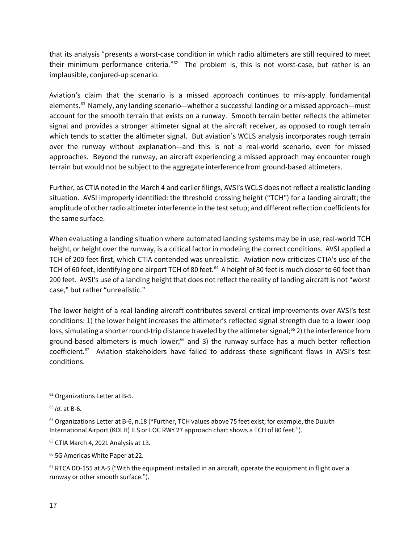that its analysis "presents a worst-case condition in which radio altimeters are still required to meet their minimum performance criteria."<sup>62</sup> The problem is, this is not worst-case, but rather is an implausible, conjured-up scenario.

Aviation's claim that the scenario is a missed approach continues to mis-apply fundamental elements.<sup>[63](#page-20-1)</sup> Namely, any landing scenario—whether a successful landing or a missed approach—must account for the smooth terrain that exists on a runway. Smooth terrain better reflects the altimeter signal and provides a stronger altimeter signal at the aircraft receiver, as opposed to rough terrain which tends to scatter the altimeter signal. But aviation's WCLS analysis incorporates rough terrain over the runway without explanation—and this is not a real-world scenario, even for missed approaches. Beyond the runway, an aircraft experiencing a missed approach may encounter rough terrain but would not be subject to the aggregate interference from ground-based altimeters.

Further, as CTIA noted in the March 4 and earlier filings, AVSI's WCLS does not reflect a realistic landing situation. AVSI improperly identified: the threshold crossing height ("TCH") for a landing aircraft; the amplitude of other radio altimeter interference in the test setup; and different reflection coefficients for the same surface.

When evaluating a landing situation where automated landing systems may be in use, real-world TCH height, or height over the runway, is a critical factor in modeling the correct conditions. AVSI applied a TCH of 200 feet first, which CTIA contended was unrealistic. Aviation now criticizes CTIA's use of the TCH of 60 feet, identifying one airport TCH of 80 feet.<sup>64</sup> A height of 80 feet is much closer to 60 feet than 200 feet. AVSI's use of a landing height that does not reflect the reality of landing aircraft is not "worst case," but rather "unrealistic."

The lower height of a real landing aircraft contributes several critical improvements over AVSI's test conditions: 1) the lower height increases the altimeter's reflected signal strength due to a lower loop loss, simulating a shorter round-trip distance traveled by the altimeter signal;<sup>[65](#page-20-3)</sup> 2) the interference from ground-based altimeters is much lower;<sup>[66](#page-20-4)</sup> and 3) the runway surface has a much better reflection coefficient.<sup>[67](#page-20-5)</sup> Aviation stakeholders have failed to address these significant flaws in AVSI's test conditions.

 $\overline{a}$ 

<span id="page-20-0"></span><sup>62</sup> Organizations Letter at B-5.

<span id="page-20-1"></span><sup>63</sup> *Id*. at B-6.

<span id="page-20-2"></span><sup>&</sup>lt;sup>64</sup> Organizations Letter at B-6, n.18 ("Further, TCH values above 75 feet exist; for example, the Duluth International Airport (KDLH) ILS or LOC RWY 27 approach chart shows a TCH of 80 feet.").

<span id="page-20-3"></span><sup>&</sup>lt;sup>65</sup> CTIA March 4, 2021 Analysis at 13.

<span id="page-20-4"></span><sup>&</sup>lt;sup>66</sup> 5G Americas White Paper at 22.

<span id="page-20-5"></span><sup>&</sup>lt;sup>67</sup> RTCA DO-155 at A-5 ("With the equipment installed in an aircraft, operate the equipment in flight over a runway or other smooth surface.").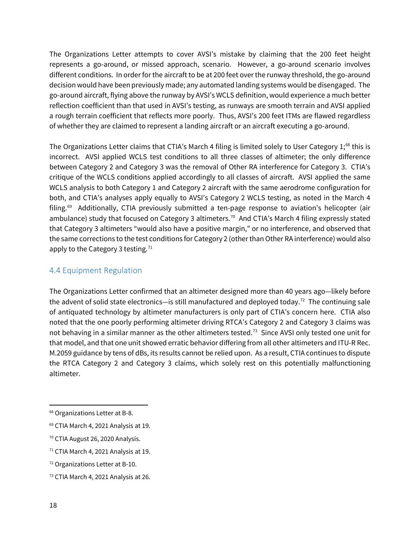The Organizations Letter attempts to cover AVSI's mistake by claiming that the 200 feet height represents a go-around, or missed approach, scenario. However, a go-around scenario involves different conditions. In order for the aircraft to be at 200 feet over the runway threshold, the go-around decision would have been previously made; any automated landing systems would be disengaged. The go-around aircraft, flying above the runway by AVSI's WCLS definition, would experience a much better reflection coefficient than that used in AVSI's testing, as runways are smooth terrain and AVSI applied a rough terrain coefficient that reflects more poorly. Thus, AVSI's 200 feet ITMs are flawed regardless of whether they are claimed to represent a landing aircraft or an aircraft executing a go-around.

The Organizations Letter claims that CTIA's March 4 filing is limited solely to User Category 1;<sup>[68](#page-21-1)</sup> this is incorrect. AVSI applied WCLS test conditions to all three classes of altimeter; the only difference between Category 2 and Category 3 was the removal of Other RA interference for Category 3. CTIA's critique of the WCLS conditions applied accordingly to all classes of aircraft. AVSI applied the same WCLS analysis to both Category 1 and Category 2 aircraft with the same aerodrome configuration for both, and CTIA's analyses apply equally to AVSI's Category 2 WCLS testing, as noted in the March 4 filing. [69](#page-21-2) Additionally, CTIA previously submitted a ten-page response to aviation's helicopter (air ambulance) study that focused on Category 3 altimeters.<sup>70</sup> And CTIA's March 4 filing expressly stated that Category 3 altimeters "would also have a positive margin," or no interference, and observed that the same corrections to the test conditions for Category 2 (other than Other RA interference) would also apply to the Category 3 testing. $71$ 

### <span id="page-21-0"></span>4.4 Equipment Regulation

The Organizations Letter confirmed that an altimeter designed more than 40 years ago—likely before the advent of solid state electronics—is still manufactured and deployed today.<sup>[72](#page-21-5)</sup> The continuing sale of antiquated technology by altimeter manufacturers is only part of CTIA's concern here. CTIA also noted that the one poorly performing altimeter driving RTCA's Category 2 and Category 3 claims was not behaving in a similar manner as the other altimeters tested.[73](#page-21-6) Since AVSI only tested one unit for that model, and that one unit showed erratic behavior differing from all other altimeters and ITU-R Rec. M.2059 guidance by tens of dBs, its results cannot be relied upon. As a result, CTIA continues to dispute the RTCA Category 2 and Category 3 claims, which solely rest on this potentially malfunctioning altimeter.

<span id="page-21-1"></span><sup>68</sup> Organizations Letter at B-8.

<span id="page-21-2"></span><sup>69</sup> CTIA March 4, 2021 Analysis at 19.

<span id="page-21-3"></span><sup>70</sup> CTIA August 26, 2020 Analysis.

<span id="page-21-4"></span><sup>71</sup> CTIA March 4, 2021 Analysis at 19.

<span id="page-21-5"></span><sup>72</sup> Organizations Letter at B-10.

<span id="page-21-6"></span><sup>73</sup> CTIA March 4, 2021 Analysis at 26.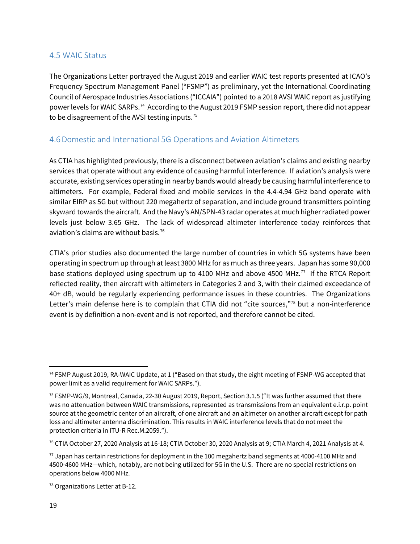#### <span id="page-22-0"></span>4.5 WAIC Status

The Organizations Letter portrayed the August 2019 and earlier WAIC test reports presented at ICAO's Frequency Spectrum Management Panel ("FSMP") as preliminary, yet the International Coordinating Council of Aerospace Industries Associations ("ICCAIA") pointed to a 2018 AVSI WAIC report as justifying power levels for WAIC SARPs. [74](#page-22-3) According to the August 2019 FSMP session report, there did not appear to be disagreement of the AVSI testing inputs.<sup>75</sup>

#### <span id="page-22-1"></span>4.6Domestic and International 5G Operations and Aviation Altimeters

As CTIA has highlighted previously, there is a disconnect between aviation's claims and existing nearby services that operate without any evidence of causing harmful interference. If aviation's analysis were accurate, existing services operating in nearby bands would already be causing harmful interference to altimeters. For example, Federal fixed and mobile services in the 4.4-4.94 GHz band operate with similar EIRP as 5G but without 220 megahertz of separation, and include ground transmitters pointing skyward towards the aircraft. And the Navy's AN/SPN-43 radar operates at much higher radiated power levels just below 3.65 GHz. The lack of widespread altimeter interference today reinforces that aviation's claims are without basis.[76](#page-22-5)

CTIA's prior studies also documented the large number of countries in which 5G systems have been operating in spectrum up through at least 3800 MHz for as much as three years. Japan has some 90,000 base stations deployed using spectrum up to 4100 MHz and above 4500 MHz.<sup>[77](#page-22-6)</sup> If the RTCA Report reflected reality, then aircraft with altimeters in Categories 2 and 3, with their claimed exceedance of 40+ dB, would be regularly experiencing performance issues in these countries. The Organizations Letter's main defense here is to complain that CTIA did not "cite sources,"<sup>[78](#page-22-7)</sup> but a non-interference event is by definition a non-event and is not reported, and therefore cannot be cited.

<span id="page-22-2"></span> $\overline{\phantom{a}}$ 

<span id="page-22-3"></span><sup>74</sup> FSMP August 2019, RA-WAIC Update, at 1 ("Based on that study, the eight meeting of FSMP-WG accepted that power limit as a valid requirement for WAIC SARPs.").

<span id="page-22-4"></span><sup>75</sup> FSMP-WG/9, Montreal, Canada, 22-30 August 2019, Report, Section 3.1.5 ("It was further assumed that there was no attenuation between WAIC transmissions, represented as transmissions from an equivalent e.i.r.p. point source at the geometric center of an aircraft, of one aircraft and an altimeter on another aircraft except for path loss and altimeter antenna discrimination. This results in WAIC interference levels that do not meet the protection criteria in ITU-R Rec.M.2059.").

<span id="page-22-5"></span> $76$  CTIA October 27, 2020 Analysis at 16-18; CTIA October 30, 2020 Analysis at 9; CTIA March 4, 2021 Analysis at 4.

<span id="page-22-6"></span> $77$  Japan has certain restrictions for deployment in the 100 megahertz band segments at 4000-4100 MHz and 4500-4600 MHz—which, notably, are not being utilized for 5G in the U.S. There are no special restrictions on operations below 4000 MHz.

<span id="page-22-7"></span><sup>&</sup>lt;sup>78</sup> Organizations Letter at B-12.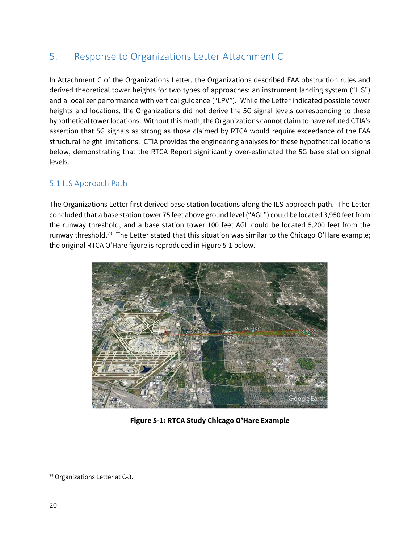# 5. Response to Organizations Letter Attachment C

In Attachment C of the Organizations Letter, the Organizations described FAA obstruction rules and derived theoretical tower heights for two types of approaches: an instrument landing system ("ILS") and a localizer performance with vertical guidance ("LPV"). While the Letter indicated possible tower heights and locations, the Organizations did not derive the 5G signal levels corresponding to these hypothetical tower locations. Without this math, the Organizations cannot claim to have refuted CTIA's assertion that 5G signals as strong as those claimed by RTCA would require exceedance of the FAA structural height limitations. CTIA provides the engineering analyses for these hypothetical locations below, demonstrating that the RTCA Report significantly over-estimated the 5G base station signal levels.

### <span id="page-23-0"></span>5.1 ILS Approach Path

The Organizations Letter first derived base station locations along the ILS approach path. The Letter concluded that a base station tower 75 feet above ground level ("AGL") could be located 3,950 feet from the runway threshold, and a base station tower 100 feet AGL could be located 5,200 feet from the runway threshold.<sup>[79](#page-23-1)</sup> The Letter stated that this situation was similar to the Chicago O'Hare example; the original RTCA O'Hare figure is reproduced in Figure 5-1 below.



**Figure 5-1: RTCA Study Chicago O'Hare Example**

<span id="page-23-1"></span><sup>79</sup> Organizations Letter at C-3.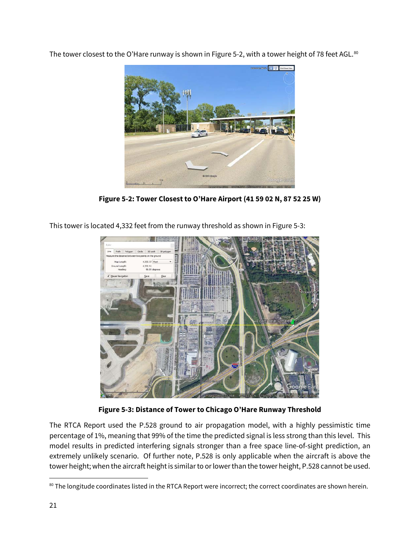The tower closest to the O'Hare runway is shown in Figure 5-2, with a tower height of 78 feet AGL.<sup>[80](#page-24-0)</sup>



**Figure 5-2: Tower Closest to O'Hare Airport (41 59 02 N, 87 52 25 W)**

This tower is located 4,332 feet from the runway threshold as shown in Figure 5-3:



**Figure 5-3: Distance of Tower to Chicago O'Hare Runway Threshold**

The RTCA Report used the P.528 ground to air propagation model, with a highly pessimistic time percentage of 1%, meaning that 99% of the time the predicted signal is less strong than this level. This model results in predicted interfering signals stronger than a free space line-of-sight prediction, an extremely unlikely scenario. Of further note, P.528 is only applicable when the aircraft is above the tower height; when the aircraft height is similar to or lower than the tower height, P.528 cannot be used.

<span id="page-24-0"></span>l <sup>80</sup> The longitude coordinates listed in the RTCA Report were incorrect; the correct coordinates are shown herein.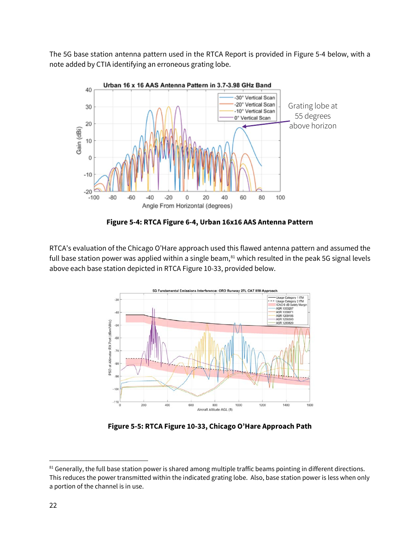The 5G base station antenna pattern used in the RTCA Report is provided in Figure 5-4 below, with a note added by CTIA identifying an erroneous grating lobe.



**Figure 5-4: RTCA Figure 6-4, Urban 16x16 AAS Antenna Pattern**

RTCA's evaluation of the Chicago O'Hare approach used this flawed antenna pattern and assumed the full base station power was applied within a single beam, $81$  which resulted in the peak 5G signal levels above each base station depicted in RTCA Figure 10-33, provided below.



**Figure 5-5: RTCA Figure 10-33, Chicago O'Hare Approach Path**

<span id="page-25-0"></span><sup>81</sup> Generally, the full base station power is shared among multiple traffic beams pointing in different directions. This reduces the power transmitted within the indicated grating lobe. Also, base station power is less when only a portion of the channel is in use.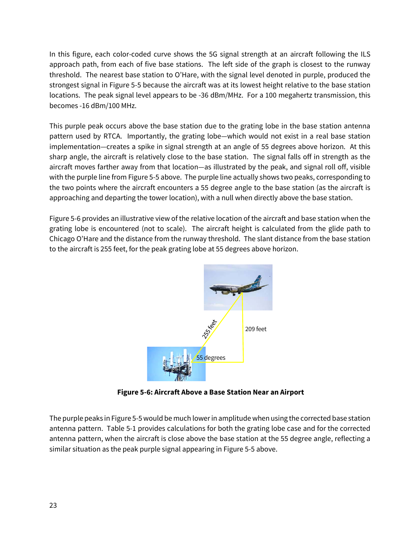In this figure, each color-coded curve shows the 5G signal strength at an aircraft following the ILS approach path, from each of five base stations. The left side of the graph is closest to the runway threshold. The nearest base station to O'Hare, with the signal level denoted in purple, produced the strongest signal in Figure 5-5 because the aircraft was at its lowest height relative to the base station locations. The peak signal level appears to be -36 dBm/MHz. For a 100 megahertz transmission, this becomes -16 dBm/100 MHz.

This purple peak occurs above the base station due to the grating lobe in the base station antenna pattern used by RTCA. Importantly, the grating lobe—which would not exist in a real base station implementation—creates a spike in signal strength at an angle of 55 degrees above horizon. At this sharp angle, the aircraft is relatively close to the base station. The signal falls off in strength as the aircraft moves farther away from that location—as illustrated by the peak, and signal roll off, visible with the purple line from Figure 5-5 above. The purple line actually shows two peaks, corresponding to the two points where the aircraft encounters a 55 degree angle to the base station (as the aircraft is approaching and departing the tower location), with a null when directly above the base station.

Figure 5-6 provides an illustrative view of the relative location of the aircraft and base station when the grating lobe is encountered (not to scale). The aircraft height is calculated from the glide path to Chicago O'Hare and the distance from the runway threshold. The slant distance from the base station to the aircraft is 255 feet, for the peak grating lobe at 55 degrees above horizon.



**Figure 5-6: Aircraft Above a Base Station Near an Airport**

The purple peaks in Figure 5-5 would be much lowerin amplitude when using the corrected base station antenna pattern. Table 5-1 provides calculations for both the grating lobe case and for the corrected antenna pattern, when the aircraft is close above the base station at the 55 degree angle, reflecting a similar situation as the peak purple signal appearing in Figure 5-5 above.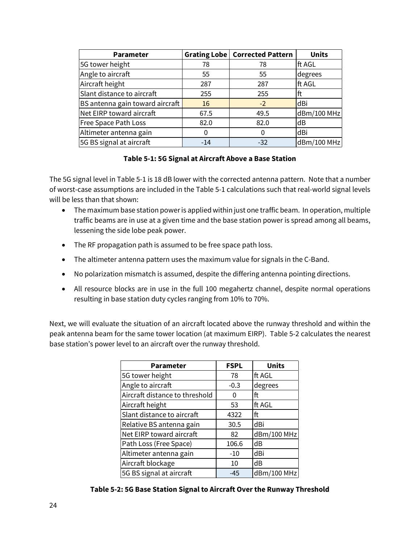| <b>Parameter</b>                |       | Grating Lobe   Corrected Pattern | <b>Units</b> |
|---------------------------------|-------|----------------------------------|--------------|
| 5G tower height                 | 78    | 78                               | ft AGL       |
| Angle to aircraft               | 55    | 55                               | degrees      |
| Aircraft height                 | 287   | 287                              | ft AGL       |
| Slant distance to aircraft      | 255   | 255                              | ft           |
| BS antenna gain toward aircraft | 16    | $-2$                             | dBi          |
| Net EIRP toward aircraft        | 67.5  | 49.5                             | dBm/100 MHz  |
| Free Space Path Loss            | 82.0  | 82.0                             | dB           |
| Altimeter antenna gain          | 0     | 0                                | dBi          |
| 5G BS signal at aircraft        | $-14$ | $-32$                            | dBm/100 MHz  |

#### **Table 5-1: 5G Signal at Aircraft Above a Base Station**

The 5G signal level in Table 5-1 is 18 dB lower with the corrected antenna pattern. Note that a number of worst-case assumptions are included in the Table 5-1 calculations such that real-world signal levels will be less than that shown:

- The maximum base station power is applied within just one traffic beam. In operation, multiple traffic beams are in use at a given time and the base station power is spread among all beams, lessening the side lobe peak power.
- The RF propagation path is assumed to be free space path loss.
- The altimeter antenna pattern uses the maximum value for signals in the C-Band.
- No polarization mismatch is assumed, despite the differing antenna pointing directions.
- All resource blocks are in use in the full 100 megahertz channel, despite normal operations resulting in base station duty cycles ranging from 10% to 70%.

Next, we will evaluate the situation of an aircraft located above the runway threshold and within the peak antenna beam for the same tower location (at maximum EIRP). Table 5-2 calculates the nearest base station's power level to an aircraft over the runway threshold.

| <b>Parameter</b>               | <b>FSPL</b> | <b>Units</b> |
|--------------------------------|-------------|--------------|
| 5G tower height                | 78          | ft AGL       |
| Angle to aircraft              | $-0.3$      | degrees      |
| Aircraft distance to threshold | 0           | ft           |
| Aircraft height                | 53          | ft AGL       |
| Slant distance to aircraft     | 4322        | ft           |
| Relative BS antenna gain       | 30.5        | dBi          |
| Net EIRP toward aircraft       | 82          | dBm/100 MHz  |
| Path Loss (Free Space)         | 106.6       | dB           |
| Altimeter antenna gain         | $-10$       | dBi          |
| Aircraft blockage              | 10          | dB           |
| 5G BS signal at aircraft       | $-45$       | dBm/100 MHz  |

**Table 5-2: 5G Base Station Signal to Aircraft Over the Runway Threshold**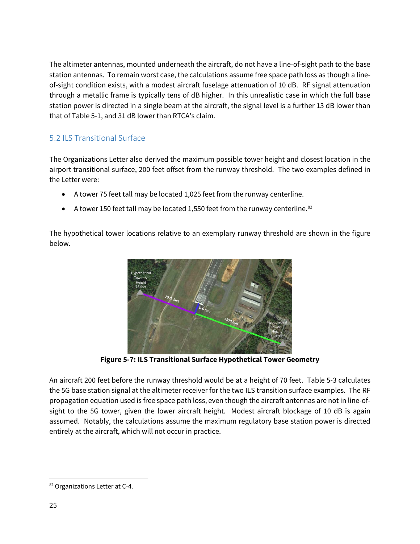The altimeter antennas, mounted underneath the aircraft, do not have a line-of-sight path to the base station antennas. To remain worst case, the calculations assume free space path loss as though a lineof-sight condition exists, with a modest aircraft fuselage attenuation of 10 dB. RF signal attenuation through a metallic frame is typically tens of dB higher. In this unrealistic case in which the full base station power is directed in a single beam at the aircraft, the signal level is a further 13 dB lower than that of Table 5-1, and 31 dB lower than RTCA's claim.

### <span id="page-28-0"></span>5.2 ILS Transitional Surface

The Organizations Letter also derived the maximum possible tower height and closest location in the airport transitional surface, 200 feet offset from the runway threshold. The two examples defined in the Letter were:

- A tower 75 feet tall may be located 1,025 feet from the runway centerline.
- A tower 150 feet tall may be located 1,550 feet from the runway centerline.<sup>[82](#page-28-1)</sup>

The hypothetical tower locations relative to an exemplary runway threshold are shown in the figure below.



**Figure 5-7: ILS Transitional Surface Hypothetical Tower Geometry**

An aircraft 200 feet before the runway threshold would be at a height of 70 feet. Table 5-3 calculates the 5G base station signal at the altimeter receiver for the two ILS transition surface examples. The RF propagation equation used is free space path loss, even though the aircraft antennas are not in line-ofsight to the 5G tower, given the lower aircraft height. Modest aircraft blockage of 10 dB is again assumed. Notably, the calculations assume the maximum regulatory base station power is directed entirely at the aircraft, which will not occur in practice.

<span id="page-28-1"></span>l 82 Organizations Letter at C-4.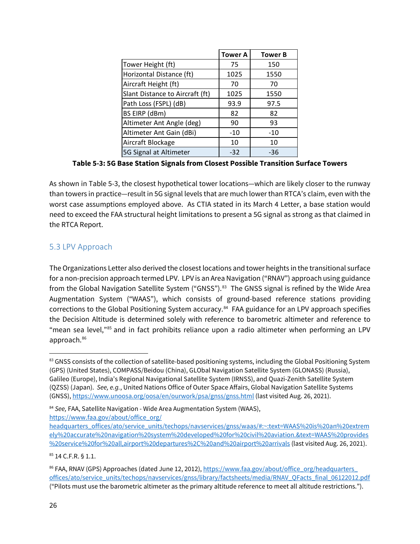|                                 | <b>Tower A</b> | <b>Tower B</b> |
|---------------------------------|----------------|----------------|
| Tower Height (ft)               | 75             | 150            |
| Horizontal Distance (ft)        | 1025           | 1550           |
| Aircraft Height (ft)            | 70             | 70             |
| Slant Distance to Aircraft (ft) | 1025           | 1550           |
| Path Loss (FSPL) (dB)           | 93.9           | 97.5           |
| BS EIRP (dBm)                   | 82             | 82             |
| Altimeter Ant Angle (deg)       | 90             | 93             |
| Altimeter Ant Gain (dBi)        | $-10$          | $-10$          |
| Aircraft Blockage               | 10             | 10             |
| 5G Signal at Altimeter          | $-32$          | -36            |

**Table 5-3: 5G Base Station Signals from Closest Possible Transition Surface Towers**

As shown in Table 5-3, the closest hypothetical tower locations—which are likely closer to the runway than towers in practice—result in 5G signal levels that are much lower than RTCA's claim, even with the worst case assumptions employed above. As CTIA stated in its March 4 Letter, a base station would need to exceed the FAA structural height limitations to present a 5G signal as strong as that claimed in the RTCA Report.

### <span id="page-29-0"></span>5.3 LPV Approach

The Organizations Letter also derived the closest locations and tower heights in the transitional surface for a non-precision approach termed LPV. LPV is an Area Navigation ("RNAV") approach using guidance from the Global Navigation Satellite System ("GNSS").<sup>[83](#page-29-1)</sup> The GNSS signal is refined by the Wide Area Augmentation System ("WAAS"), which consists of ground-based reference stations providing corrections to the Global Positioning System accuracy.<sup>84</sup> FAA guidance for an LPV approach specifies the Decision Altitude is determined solely with reference to barometric altimeter and reference to "mean sea level,["85](#page-29-3) and in fact prohibits reliance upon a radio altimeter when performing an LPV approach. [86](#page-29-4)

<span id="page-29-2"></span><sup>84</sup> *See,* FAA, Satellite Navigation - Wide Area Augmentation System (WAAS),

[https://www.faa.gov/about/office\\_org/](https://www.faa.gov/about/office_org/headquarters_offices/ato/service_units/techops/navservices/gnss/waas/#:%7E:text=WAAS%20is%20an%20extremely%20accurate%20navigation%20system%20developed%20for%20civil%20aviation.&text=WAAS%20provides%20service%20for%20all,airport%20departures%2C%20and%20airport%20arrivals)

<span id="page-29-3"></span><sup>85</sup> 14 C.F.R. § 1.1.

<span id="page-29-1"></span><sup>83</sup> GNSS consists of the collection of satellite-based positioning systems, including the Global Positioning System (GPS) (United States), COMPASS/Beidou (China), GLObal Navigation Satellite System (GLONASS) (Russia), Galileo (Europe), India's Regional Navigational Satellite System (IRNSS), and Quazi-Zenith Satellite System (QZSS) (Japan). *See, e.g.*, United Nations Office of Outer Space Affairs, Global Navigation Satellite Systems (GNSS),<https://www.unoosa.org/oosa/en/ourwork/psa/gnss/gnss.html> (last visited Aug. 26, 2021).

[headquarters\\_offices/ato/service\\_units/techops/navservices/gnss/waas/#:~:text=WAAS%20is%20an%20extrem](https://www.faa.gov/about/office_org/headquarters_offices/ato/service_units/techops/navservices/gnss/waas/#:%7E:text=WAAS%20is%20an%20extremely%20accurate%20navigation%20system%20developed%20for%20civil%20aviation.&text=WAAS%20provides%20service%20for%20all,airport%20departures%2C%20and%20airport%20arrivals) [ely%20accurate%20navigation%20system%20developed%20for%20civil%20aviation.&text=WAAS%20provides](https://www.faa.gov/about/office_org/headquarters_offices/ato/service_units/techops/navservices/gnss/waas/#:%7E:text=WAAS%20is%20an%20extremely%20accurate%20navigation%20system%20developed%20for%20civil%20aviation.&text=WAAS%20provides%20service%20for%20all,airport%20departures%2C%20and%20airport%20arrivals) [%20service%20for%20all,airport%20departures%2C%20and%20airport%20arrivals](https://www.faa.gov/about/office_org/headquarters_offices/ato/service_units/techops/navservices/gnss/waas/#:%7E:text=WAAS%20is%20an%20extremely%20accurate%20navigation%20system%20developed%20for%20civil%20aviation.&text=WAAS%20provides%20service%20for%20all,airport%20departures%2C%20and%20airport%20arrivals) (last visited Aug. 26, 2021).

<span id="page-29-4"></span><sup>86</sup> FAA, RNAV (GPS) Approaches (dated June 12, 2012)[, https://www.faa.gov/about/office\\_org/headquarters\\_](https://www.faa.gov/about/office_org/headquarters_offices/ato/service_units/techops/navservices/gnss/library/factsheets/media/RNAV_QFacts_final_06122012.pdf) [offices/ato/service\\_units/techops/navservices/gnss/library/factsheets/media/RNAV\\_QFacts\\_final\\_06122012.pdf](https://www.faa.gov/about/office_org/headquarters_offices/ato/service_units/techops/navservices/gnss/library/factsheets/media/RNAV_QFacts_final_06122012.pdf) ("Pilots must use the barometric altimeter as the primary altitude reference to meet all altitude restrictions.").